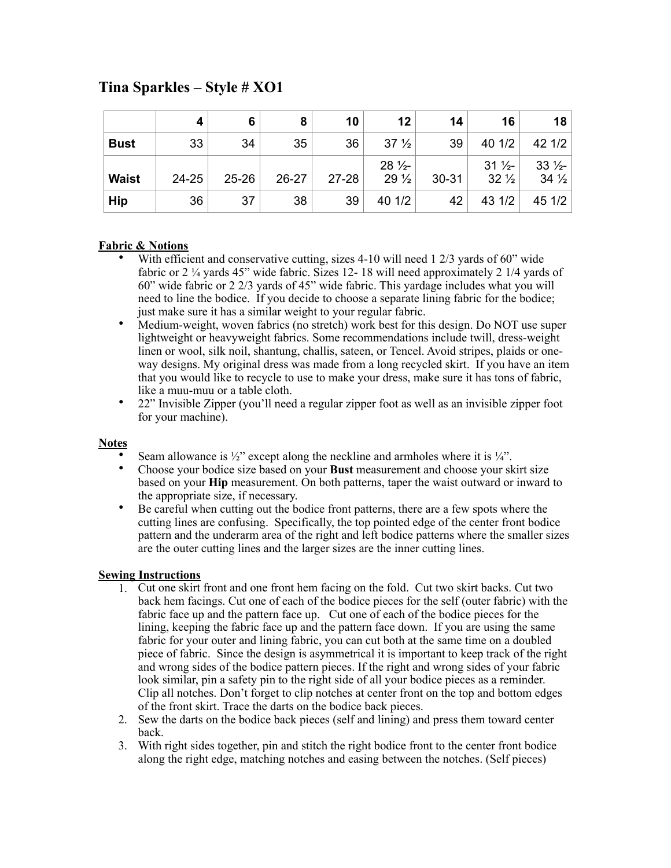## **Tina Sparkles – Style # XO1**

|              | 4         | 6         | 8       | 10        | 12                                 | 14        | 16                                 | 18                                 |
|--------------|-----------|-----------|---------|-----------|------------------------------------|-----------|------------------------------------|------------------------------------|
| <b>Bust</b>  | 33        | 34        | 35      | 36        | 37 <sup>1</sup> / <sub>2</sub>     | 39        | 40 1/2                             | 42 1/2                             |
| <b>Waist</b> | $24 - 25$ | $25 - 26$ | $26-27$ | $27 - 28$ | $28\frac{1}{2}$<br>$29\frac{1}{2}$ | $30 - 31$ | $31\frac{1}{2}$<br>$32\frac{1}{2}$ | $33\frac{1}{2}$<br>$34\frac{1}{2}$ |
| <b>Hip</b>   | 36        | 37        | 38      | 39        | 40 1/2                             | 42        | 43 1/2                             | 45 1/2                             |

## **Fabric & Notions**

- With efficient and conservative cutting, sizes 4-10 will need 1 2/3 yards of 60" wide fabric or 2 ¼ yards 45" wide fabric. Sizes 12- 18 will need approximately 2 1/4 yards of 60" wide fabric or 2 2/3 yards of 45" wide fabric. This yardage includes what you will need to line the bodice. If you decide to choose a separate lining fabric for the bodice; just make sure it has a similar weight to your regular fabric.
- Medium-weight, woven fabrics (no stretch) work best for this design. Do NOT use super lightweight or heavyweight fabrics. Some recommendations include twill, dress-weight linen or wool, silk noil, shantung, challis, sateen, or Tencel. Avoid stripes, plaids or oneway designs. My original dress was made from a long recycled skirt. If you have an item that you would like to recycle to use to make your dress, make sure it has tons of fabric, like a muu-muu or a table cloth.
- 22" Invisible Zipper (you'll need a regular zipper foot as well as an invisible zipper foot for your machine).

## **Notes**

- Seam allowance is  $\frac{1}{2}$ " except along the neckline and armholes where it is  $\frac{1}{4}$ ".
- Choose your bodice size based on your **Bust** measurement and choose your skirt size based on your **Hip** measurement. On both patterns, taper the waist outward or inward to the appropriate size, if necessary.
- Be careful when cutting out the bodice front patterns, there are a few spots where the cutting lines are confusing. Specifically, the top pointed edge of the center front bodice pattern and the underarm area of the right and left bodice patterns where the smaller sizes are the outer cutting lines and the larger sizes are the inner cutting lines.

## **Sewing Instructions**

- 1. Cut one skirt front and one front hem facing on the fold. Cut two skirt backs. Cut two back hem facings. Cut one of each of the bodice pieces for the self (outer fabric) with the fabric face up and the pattern face up. Cut one of each of the bodice pieces for the lining, keeping the fabric face up and the pattern face down. If you are using the same fabric for your outer and lining fabric, you can cut both at the same time on a doubled piece of fabric. Since the design is asymmetrical it is important to keep track of the right and wrong sides of the bodice pattern pieces. If the right and wrong sides of your fabric look similar, pin a safety pin to the right side of all your bodice pieces as a reminder. Clip all notches. Don't forget to clip notches at center front on the top and bottom edges of the front skirt. Trace the darts on the bodice back pieces.
- 2. Sew the darts on the bodice back pieces (self and lining) and press them toward center back.
- 3. With right sides together, pin and stitch the right bodice front to the center front bodice along the right edge, matching notches and easing between the notches. (Self pieces)